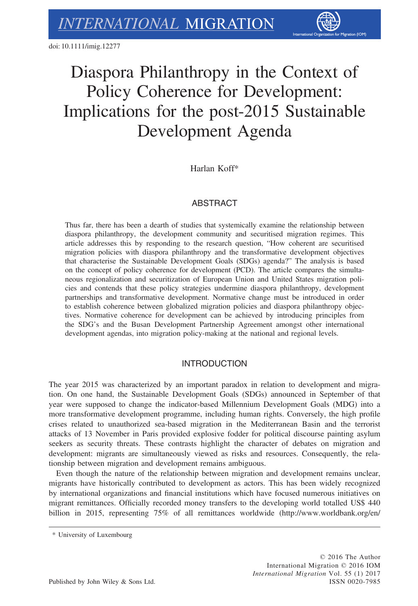

# Diaspora Philanthropy in the Context of Policy Coherence for Development: Implications for the post-2015 Sustainable Development Agenda

Harlan Koff\*

# **ABSTRACT**

Thus far, there has been a dearth of studies that systemically examine the relationship between diaspora philanthropy, the development community and securitised migration regimes. This article addresses this by responding to the research question, "How coherent are securitised migration policies with diaspora philanthropy and the transformative development objectives that characterise the Sustainable Development Goals (SDGs) agenda?" The analysis is based on the concept of policy coherence for development (PCD). The article compares the simultaneous regionalization and securitization of European Union and United States migration policies and contends that these policy strategies undermine diaspora philanthropy, development partnerships and transformative development. Normative change must be introduced in order to establish coherence between globalized migration policies and diaspora philanthropy objectives. Normative coherence for development can be achieved by introducing principles from the SDG's and the Busan Development Partnership Agreement amongst other international development agendas, into migration policy-making at the national and regional levels.

# INTRODUCTION

The year 2015 was characterized by an important paradox in relation to development and migration. On one hand, the Sustainable Development Goals (SDGs) announced in September of that year were supposed to change the indicator-based Millennium Development Goals (MDG) into a more transformative development programme, including human rights. Conversely, the high profile crises related to unauthorized sea-based migration in the Mediterranean Basin and the terrorist attacks of 13 November in Paris provided explosive fodder for political discourse painting asylum seekers as security threats. These contrasts highlight the character of debates on migration and development: migrants are simultaneously viewed as risks and resources. Consequently, the relationship between migration and development remains ambiguous.

Even though the nature of the relationship between migration and development remains unclear, migrants have historically contributed to development as actors. This has been widely recognized by international organizations and financial institutions which have focused numerous initiatives on migrant remittances. Officially recorded money transfers to the developing world totalled US\$ 440 billion in 2015, representing 75% of all remittances worldwide [\(http://www.worldbank.org/en/](http://www.worldbank.org/en/news/press-release/2015/04/13/remittances-growth-to-slow-sharply-in-2015-as-europe-and-russia-stay-weak-pick-up-expected-next-year)

<sup>\*</sup> University of Luxembourg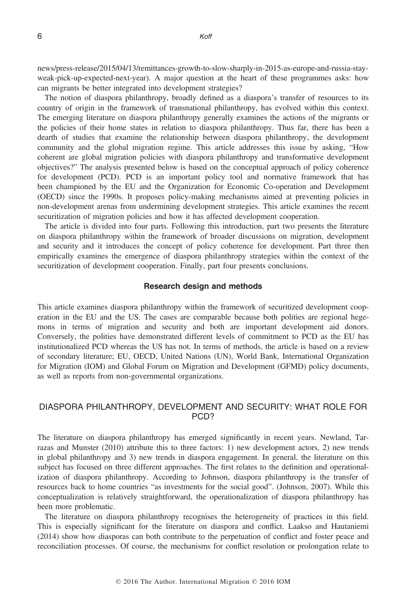[news/press-release/2015/04/13/remittances-growth-to-slow-sharply-in-2015-as-europe-and-russia-stay](http://www.worldbank.org/en/news/press-release/2015/04/13/remittances-growth-to-slow-sharply-in-2015-as-europe-and-russia-stay-weak-pick-up-expected-next-year)[weak-pick-up-expected-next-year\)](http://www.worldbank.org/en/news/press-release/2015/04/13/remittances-growth-to-slow-sharply-in-2015-as-europe-and-russia-stay-weak-pick-up-expected-next-year). A major question at the heart of these programmes asks: how can migrants be better integrated into development strategies?

The notion of diaspora philanthropy, broadly defined as a diaspora's transfer of resources to its country of origin in the framework of transnational philanthropy, has evolved within this context. The emerging literature on diaspora philanthropy generally examines the actions of the migrants or the policies of their home states in relation to diaspora philanthropy. Thus far, there has been a dearth of studies that examine the relationship between diaspora philanthropy, the development community and the global migration regime. This article addresses this issue by asking, "How coherent are global migration policies with diaspora philanthropy and transformative development objectives?" The analysis presented below is based on the conceptual approach of policy coherence for development (PCD). PCD is an important policy tool and normative framework that has been championed by the EU and the Organization for Economic Co-operation and Development (OECD) since the 1990s. It proposes policy-making mechanisms aimed at preventing policies in non-development arenas from undermining development strategies. This article examines the recent securitization of migration policies and how it has affected development cooperation.

The article is divided into four parts. Following this introduction, part two presents the literature on diaspora philanthropy within the framework of broader discussions on migration, development and security and it introduces the concept of policy coherence for development. Part three then empirically examines the emergence of diaspora philanthropy strategies within the context of the securitization of development cooperation. Finally, part four presents conclusions.

## Research design and methods

This article examines diaspora philanthropy within the framework of securitized development cooperation in the EU and the US. The cases are comparable because both polities are regional hegemons in terms of migration and security and both are important development aid donors. Conversely, the polities have demonstrated different levels of commitment to PCD as the EU has institutionalized PCD whereas the US has not. In terms of methods, the article is based on a review of secondary literature; EU, OECD, United Nations (UN), World Bank, International Organization for Migration (IOM) and Global Forum on Migration and Development (GFMD) policy documents, as well as reports from non-governmental organizations.

# DIASPORA PHILANTHROPY, DEVELOPMENT AND SECURITY: WHAT ROLE FOR PCD?

The literature on diaspora philanthropy has emerged significantly in recent years. Newland, Tarrazas and Munster (2010) attribute this to three factors: 1) new development actors, 2) new trends in global philanthropy and 3) new trends in diaspora engagement. In general, the literature on this subject has focused on three different approaches. The first relates to the definition and operationalization of diaspora philanthropy. According to Johnson, diaspora philanthropy is the transfer of resources back to home countries "as investments for the social good". (Johnson, 2007). While this conceptualization is relatively straightforward, the operationalization of diaspora philanthropy has been more problematic.

The literature on diaspora philanthropy recognises the heterogeneity of practices in this field. This is especially significant for the literature on diaspora and conflict. Laakso and Hautaniemi (2014) show how diasporas can both contribute to the perpetuation of conflict and foster peace and reconciliation processes. Of course, the mechanisms for conflict resolution or prolongation relate to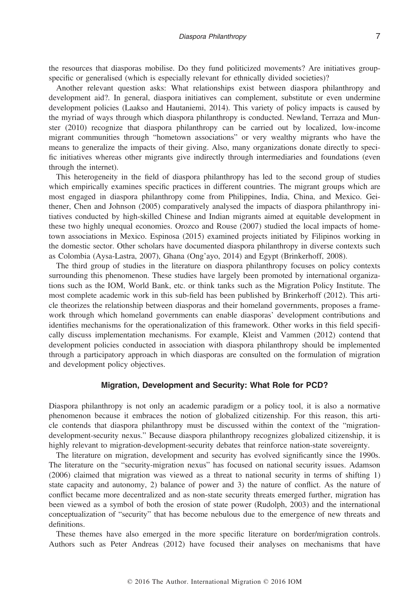the resources that diasporas mobilise. Do they fund politicized movements? Are initiatives groupspecific or generalised (which is especially relevant for ethnically divided societies)?

Another relevant question asks: What relationships exist between diaspora philanthropy and development aid?. In general, diaspora initiatives can complement, substitute or even undermine development policies (Laakso and Hautaniemi, 2014). This variety of policy impacts is caused by the myriad of ways through which diaspora philanthropy is conducted. Newland, Terraza and Munster (2010) recognize that diaspora philanthropy can be carried out by localized, low-income migrant communities through "hometown associations" or very wealthy migrants who have the means to generalize the impacts of their giving. Also, many organizations donate directly to specific initiatives whereas other migrants give indirectly through intermediaries and foundations (even through the internet).

This heterogeneity in the field of diaspora philanthropy has led to the second group of studies which empirically examines specific practices in different countries. The migrant groups which are most engaged in diaspora philanthropy come from Philippines, India, China, and Mexico. Geithener, Chen and Johnson (2005) comparatively analysed the impacts of diaspora philanthropy initiatives conducted by high-skilled Chinese and Indian migrants aimed at equitable development in these two highly unequal economies. Orozco and Rouse (2007) studied the local impacts of hometown associations in Mexico. Espinosa (2015) examined projects initiated by Filipinos working in the domestic sector. Other scholars have documented diaspora philanthropy in diverse contexts such as Colombia (Aysa-Lastra, 2007), Ghana (Ong'ayo, 2014) and Egypt (Brinkerhoff, 2008).

The third group of studies in the literature on diaspora philanthropy focuses on policy contexts surrounding this phenomenon. These studies have largely been promoted by international organizations such as the IOM, World Bank, etc. or think tanks such as the Migration Policy Institute. The most complete academic work in this sub-field has been published by Brinkerhoff (2012). This article theorizes the relationship between diasporas and their homeland governments, proposes a framework through which homeland governments can enable diasporas' development contributions and identifies mechanisms for the operationalization of this framework. Other works in this field specifically discuss implementation mechanisms. For example, Kleist and Vammen (2012) contend that development policies conducted in association with diaspora philanthropy should be implemented through a participatory approach in which diasporas are consulted on the formulation of migration and development policy objectives.

## Migration, Development and Security: What Role for PCD?

Diaspora philanthropy is not only an academic paradigm or a policy tool, it is also a normative phenomenon because it embraces the notion of globalized citizenship. For this reason, this article contends that diaspora philanthropy must be discussed within the context of the "migrationdevelopment-security nexus." Because diaspora philanthropy recognizes globalized citizenship, it is highly relevant to migration-development-security debates that reinforce nation-state sovereignty.

The literature on migration, development and security has evolved significantly since the 1990s. The literature on the "security-migration nexus" has focused on national security issues. Adamson (2006) claimed that migration was viewed as a threat to national security in terms of shifting 1) state capacity and autonomy, 2) balance of power and 3) the nature of conflict. As the nature of conflict became more decentralized and as non-state security threats emerged further, migration has been viewed as a symbol of both the erosion of state power (Rudolph, 2003) and the international conceptualization of "security" that has become nebulous due to the emergence of new threats and definitions.

These themes have also emerged in the more specific literature on border/migration controls. Authors such as Peter Andreas (2012) have focused their analyses on mechanisms that have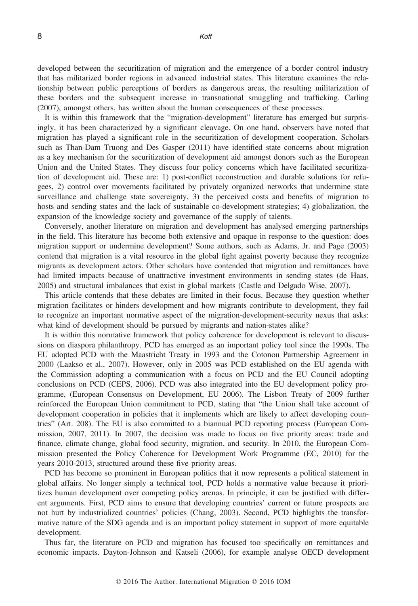developed between the securitization of migration and the emergence of a border control industry that has militarized border regions in advanced industrial states. This literature examines the relationship between public perceptions of borders as dangerous areas, the resulting militarization of these borders and the subsequent increase in transnational smuggling and trafficking. Carling (2007), amongst others, has written about the human consequences of these processes.

It is within this framework that the "migration-development" literature has emerged but surprisingly, it has been characterized by a significant cleavage. On one hand, observers have noted that migration has played a significant role in the securitization of development cooperation. Scholars such as Than-Dam Truong and Des Gasper (2011) have identified state concerns about migration as a key mechanism for the securitization of development aid amongst donors such as the European Union and the United States. They discuss four policy concerns which have facilitated securitization of development aid. These are: 1) post-conflict reconstruction and durable solutions for refugees, 2) control over movements facilitated by privately organized networks that undermine state surveillance and challenge state sovereignty, 3) the perceived costs and benefits of migration to hosts and sending states and the lack of sustainable co-development strategies; 4) globalization, the expansion of the knowledge society and governance of the supply of talents.

Conversely, another literature on migration and development has analysed emerging partnerships in the field. This literature has become both extensive and opaque in response to the question: does migration support or undermine development? Some authors, such as Adams, Jr. and Page (2003) contend that migration is a vital resource in the global fight against poverty because they recognize migrants as development actors. Other scholars have contended that migration and remittances have had limited impacts because of unattractive investment environments in sending states (de Haas, 2005) and structural imbalances that exist in global markets (Castle and Delgado Wise, 2007).

This article contends that these debates are limited in their focus. Because they question whether migration facilitates or hinders development and how migrants contribute to development, they fail to recognize an important normative aspect of the migration-development-security nexus that asks: what kind of development should be pursued by migrants and nation-states alike?

It is within this normative framework that policy coherence for development is relevant to discussions on diaspora philanthropy. PCD has emerged as an important policy tool since the 1990s. The EU adopted PCD with the Maastricht Treaty in 1993 and the Cotonou Partnership Agreement in 2000 (Laakso et al., 2007). However, only in 2005 was PCD established on the EU agenda with the Commission adopting a communication with a focus on PCD and the EU Council adopting conclusions on PCD (CEPS, 2006). PCD was also integrated into the EU development policy programme, (European Consensus on Development, EU 2006). The Lisbon Treaty of 2009 further reinforced the European Union commitment to PCD, stating that "the Union shall take account of development cooperation in policies that it implements which are likely to affect developing countries" (Art. 208). The EU is also committed to a biannual PCD reporting process (European Commission, 2007, 2011). In 2007, the decision was made to focus on five priority areas: trade and finance, climate change, global food security, migration, and security. In 2010, the European Commission presented the Policy Coherence for Development Work Programme (EC, 2010) for the years 2010-2013, structured around these five priority areas.

PCD has become so prominent in European politics that it now represents a political statement in global affairs. No longer simply a technical tool, PCD holds a normative value because it prioritizes human development over competing policy arenas. In principle, it can be justified with different arguments. First, PCD aims to ensure that developing countries' current or future prospects are not hurt by industrialized countries' policies (Chang, 2003). Second, PCD highlights the transformative nature of the SDG agenda and is an important policy statement in support of more equitable development.

Thus far, the literature on PCD and migration has focused too specifically on remittances and economic impacts. Dayton-Johnson and Katseli (2006), for example analyse OECD development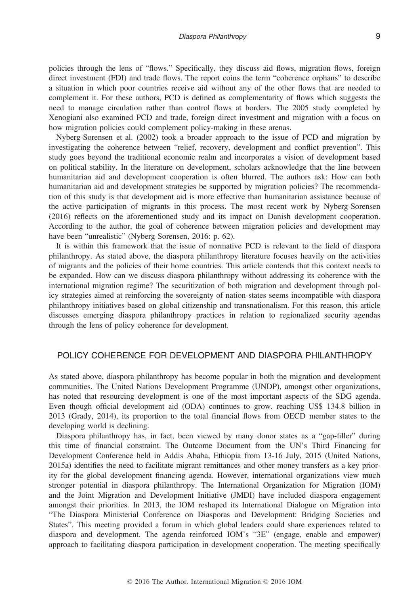policies through the lens of "flows." Specifically, they discuss aid flows, migration flows, foreign direct investment (FDI) and trade flows. The report coins the term "coherence orphans" to describe a situation in which poor countries receive aid without any of the other flows that are needed to complement it. For these authors, PCD is defined as complementarity of flows which suggests the need to manage circulation rather than control flows at borders. The 2005 study completed by Xenogiani also examined PCD and trade, foreign direct investment and migration with a focus on how migration policies could complement policy-making in these arenas.

Nyberg-Sorensen et al. (2002) took a broader approach to the issue of PCD and migration by investigating the coherence between "relief, recovery, development and conflict prevention". This study goes beyond the traditional economic realm and incorporates a vision of development based on political stability. In the literature on development, scholars acknowledge that the line between humanitarian aid and development cooperation is often blurred. The authors ask: How can both humanitarian aid and development strategies be supported by migration policies? The recommendation of this study is that development aid is more effective than humanitarian assistance because of the active participation of migrants in this process. The most recent work by Nyberg-Sorensen (2016) reflects on the aforementioned study and its impact on Danish development cooperation. According to the author, the goal of coherence between migration policies and development may have been "unrealistic" (Nyberg-Sorensen, 2016: p. 62).

It is within this framework that the issue of normative PCD is relevant to the field of diaspora philanthropy. As stated above, the diaspora philanthropy literature focuses heavily on the activities of migrants and the policies of their home countries. This article contends that this context needs to be expanded. How can we discuss diaspora philanthropy without addressing its coherence with the international migration regime? The securitization of both migration and development through policy strategies aimed at reinforcing the sovereignty of nation-states seems incompatible with diaspora philanthropy initiatives based on global citizenship and transnationalism. For this reason, this article discusses emerging diaspora philanthropy practices in relation to regionalized security agendas through the lens of policy coherence for development.

# POLICY COHERENCE FOR DEVELOPMENT AND DIASPORA PHILANTHROPY

As stated above, diaspora philanthropy has become popular in both the migration and development communities. The United Nations Development Programme (UNDP), amongst other organizations, has noted that resourcing development is one of the most important aspects of the SDG agenda. Even though official development aid (ODA) continues to grow, reaching US\$ 134.8 billion in 2013 (Grady, 2014), its proportion to the total financial flows from OECD member states to the developing world is declining.

Diaspora philanthropy has, in fact, been viewed by many donor states as a "gap-filler" during this time of financial constraint. The Outcome Document from the UN's Third Financing for Development Conference held in Addis Ababa, Ethiopia from 13-16 July, 2015 (United Nations, 2015a) identifies the need to facilitate migrant remittances and other money transfers as a key priority for the global development financing agenda. However, international organizations view much stronger potential in diaspora philanthropy. The International Organization for Migration (IOM) and the Joint Migration and Development Initiative (JMDI) have included diaspora engagement amongst their priorities. In 2013, the IOM reshaped its International Dialogue on Migration into "The Diaspora Ministerial Conference on Diasporas and Development: Bridging Societies and States". This meeting provided a forum in which global leaders could share experiences related to diaspora and development. The agenda reinforced IOM's "3E" (engage, enable and empower) approach to facilitating diaspora participation in development cooperation. The meeting specifically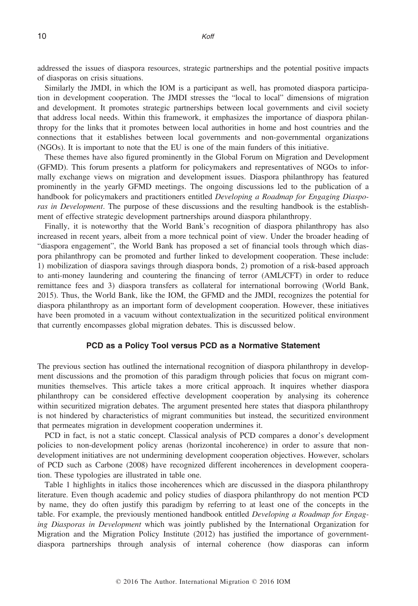addressed the issues of diaspora resources, strategic partnerships and the potential positive impacts of diasporas on crisis situations.

Similarly the JMDI, in which the IOM is a participant as well, has promoted diaspora participation in development cooperation. The JMDI stresses the "local to local" dimensions of migration and development. It promotes strategic partnerships between local governments and civil society that address local needs. Within this framework, it emphasizes the importance of diaspora philanthropy for the links that it promotes between local authorities in home and host countries and the connections that it establishes between local governments and non-governmental organizations (NGOs). It is important to note that the EU is one of the main funders of this initiative.

These themes have also figured prominently in the Global Forum on Migration and Development (GFMD). This forum presents a platform for policymakers and representatives of NGOs to informally exchange views on migration and development issues. Diaspora philanthropy has featured prominently in the yearly GFMD meetings. The ongoing discussions led to the publication of a handbook for policymakers and practitioners entitled *Developing a Roadmap for Engaging Diaspo*ras in Development. The purpose of these discussions and the resulting handbook is the establishment of effective strategic development partnerships around diaspora philanthropy.

Finally, it is noteworthy that the World Bank's recognition of diaspora philanthropy has also increased in recent years, albeit from a more technical point of view. Under the broader heading of "diaspora engagement", the World Bank has proposed a set of financial tools through which diaspora philanthropy can be promoted and further linked to development cooperation. These include: 1) mobilization of diaspora savings through diaspora bonds, 2) promotion of a risk-based approach to anti-money laundering and countering the financing of terror (AML/CFT) in order to reduce remittance fees and 3) diaspora transfers as collateral for international borrowing (World Bank, 2015). Thus, the World Bank, like the IOM, the GFMD and the JMDI, recognizes the potential for diaspora philanthropy as an important form of development cooperation. However, these initiatives have been promoted in a vacuum without contextualization in the securitized political environment that currently encompasses global migration debates. This is discussed below.

## PCD as a Policy Tool versus PCD as a Normative Statement

The previous section has outlined the international recognition of diaspora philanthropy in development discussions and the promotion of this paradigm through policies that focus on migrant communities themselves. This article takes a more critical approach. It inquires whether diaspora philanthropy can be considered effective development cooperation by analysing its coherence within securitized migration debates. The argument presented here states that diaspora philanthropy is not hindered by characteristics of migrant communities but instead, the securitized environment that permeates migration in development cooperation undermines it.

PCD in fact, is not a static concept. Classical analysis of PCD compares a donor's development policies to non-development policy arenas (horizontal incoherence) in order to assure that nondevelopment initiatives are not undermining development cooperation objectives. However, scholars of PCD such as Carbone (2008) have recognized different incoherences in development cooperation. These typologies are illustrated in table one.

Table 1 highlights in italics those incoherences which are discussed in the diaspora philanthropy literature. Even though academic and policy studies of diaspora philanthropy do not mention PCD by name, they do often justify this paradigm by referring to at least one of the concepts in the table. For example, the previously mentioned handbook entitled *Developing a Roadmap for Engag*ing Diasporas in Development which was jointly published by the International Organization for Migration and the Migration Policy Institute (2012) has justified the importance of governmentdiaspora partnerships through analysis of internal coherence (how diasporas can inform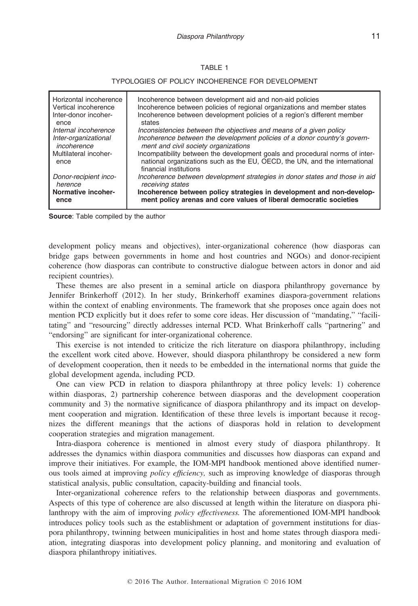## TABLE 1

#### TYPOLOGIES OF POLICY INCOHERENCE FOR DEVELOPMENT

| Horizontal incoherence        | Incoherence between development aid and non-aid policies                                                                                                                             |
|-------------------------------|--------------------------------------------------------------------------------------------------------------------------------------------------------------------------------------|
| Vertical incoherence          | Incoherence between policies of regional organizations and member states                                                                                                             |
| Inter-donor incoher-          | Incoherence between development policies of a region's different member                                                                                                              |
| ence                          | states                                                                                                                                                                               |
| Internal incoherence          | Inconsistencies between the objectives and means of a given policy                                                                                                                   |
| Inter-organizational          | Incoherence between the development policies of a donor country's govern-                                                                                                            |
| incoherence                   | ment and civil society organizations                                                                                                                                                 |
| Multilateral incoher-<br>ence | Incompatibility between the development goals and procedural norms of inter-<br>national organizations such as the EU, OECD, the UN, and the international<br>financial institutions |
| Donor-recipient inco-         | Incoherence between development strategies in donor states and those in aid                                                                                                          |
| herence                       | receiving states                                                                                                                                                                     |
| Normative incoher-            | Incoherence between policy strategies in development and non-develop-                                                                                                                |
| ence                          | ment policy arenas and core values of liberal democratic societies                                                                                                                   |

Source: Table compiled by the author

development policy means and objectives), inter-organizational coherence (how diasporas can bridge gaps between governments in home and host countries and NGOs) and donor-recipient coherence (how diasporas can contribute to constructive dialogue between actors in donor and aid recipient countries).

These themes are also present in a seminal article on diaspora philanthropy governance by Jennifer Brinkerhoff (2012). In her study, Brinkerhoff examines diaspora-government relations within the context of enabling environments. The framework that she proposes once again does not mention PCD explicitly but it does refer to some core ideas. Her discussion of "mandating," "facilitating" and "resourcing" directly addresses internal PCD. What Brinkerhoff calls "partnering" and "endorsing" are significant for inter-organizational coherence.

This exercise is not intended to criticize the rich literature on diaspora philanthropy, including the excellent work cited above. However, should diaspora philanthropy be considered a new form of development cooperation, then it needs to be embedded in the international norms that guide the global development agenda, including PCD.

One can view PCD in relation to diaspora philanthropy at three policy levels: 1) coherence within diasporas, 2) partnership coherence between diasporas and the development cooperation community and 3) the normative significance of diaspora philanthropy and its impact on development cooperation and migration. Identification of these three levels is important because it recognizes the different meanings that the actions of diasporas hold in relation to development cooperation strategies and migration management.

Intra-diaspora coherence is mentioned in almost every study of diaspora philanthropy. It addresses the dynamics within diaspora communities and discusses how diasporas can expand and improve their initiatives. For example, the IOM-MPI handbook mentioned above identified numerous tools aimed at improving policy efficiency, such as improving knowledge of diasporas through statistical analysis, public consultation, capacity-building and financial tools.

Inter-organizational coherence refers to the relationship between diasporas and governments. Aspects of this type of coherence are also discussed at length within the literature on diaspora philanthropy with the aim of improving *policy effectiveness*. The aforementioned IOM-MPI handbook introduces policy tools such as the establishment or adaptation of government institutions for diaspora philanthropy, twinning between municipalities in host and home states through diaspora mediation, integrating diasporas into development policy planning, and monitoring and evaluation of diaspora philanthropy initiatives.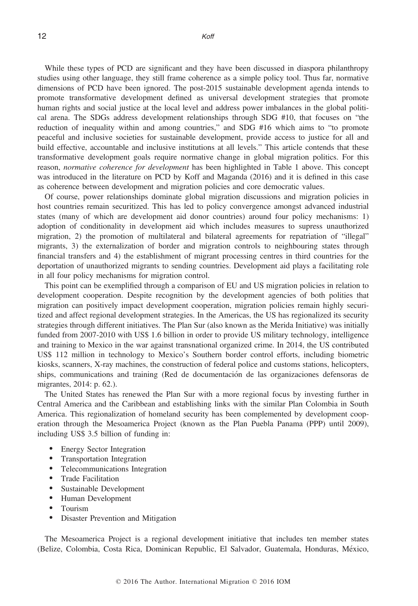12 Kofi

While these types of PCD are significant and they have been discussed in diaspora philanthropy studies using other language, they still frame coherence as a simple policy tool. Thus far, normative dimensions of PCD have been ignored. The post-2015 sustainable development agenda intends to promote transformative development defined as universal development strategies that promote human rights and social justice at the local level and address power imbalances in the global political arena. The SDGs address development relationships through SDG #10, that focuses on "the reduction of inequality within and among countries," and SDG #16 which aims to "to promote peaceful and inclusive societies for sustainable development, provide access to justice for all and build effective, accountable and inclusive institutions at all levels." This article contends that these transformative development goals require normative change in global migration politics. For this reason, normative coherence for development has been highlighted in Table 1 above. This concept was introduced in the literature on PCD by Koff and Maganda (2016) and it is defined in this case as coherence between development and migration policies and core democratic values.

Of course, power relationships dominate global migration discussions and migration policies in host countries remain securitized. This has led to policy convergence amongst advanced industrial states (many of which are development aid donor countries) around four policy mechanisms: 1) adoption of conditionality in development aid which includes measures to supress unauthorized migration, 2) the promotion of multilateral and bilateral agreements for repatriation of "illegal" migrants, 3) the externalization of border and migration controls to neighbouring states through financial transfers and 4) the establishment of migrant processing centres in third countries for the deportation of unauthorized migrants to sending countries. Development aid plays a facilitating role in all four policy mechanisms for migration control.

This point can be exemplified through a comparison of EU and US migration policies in relation to development cooperation. Despite recognition by the development agencies of both polities that migration can positively impact development cooperation, migration policies remain highly securitized and affect regional development strategies. In the Americas, the US has regionalized its security strategies through different initiatives. The Plan Sur (also known as the Merida Initiative) was initially funded from 2007-2010 with US\$ 1.6 billion in order to provide US military technology, intelligence and training to Mexico in the war against transnational organized crime. In 2014, the US contributed US\$ 112 million in technology to Mexico's Southern border control efforts, including biometric kiosks, scanners, X-ray machines, the construction of federal police and customs stations, helicopters, ships, communications and training (Red de documentacion de las organizaciones defensoras de migrantes, 2014: p. 62.).

The United States has renewed the Plan Sur with a more regional focus by investing further in Central America and the Caribbean and establishing links with the similar Plan Colombia in South America. This regionalization of homeland security has been complemented by development cooperation through the Mesoamerica Project (known as the Plan Puebla Panama (PPP) until 2009), including US\$ 3.5 billion of funding in:

- Energy Sector Integration
- Transportation Integration
- Telecommunications Integration
- Trade Facilitation
- Sustainable Development
- Human Development
- Tourism
- Disaster Prevention and Mitigation

The Mesoamerica Project is a regional development initiative that includes ten member states (Belize, Colombia, Costa Rica, Dominican Republic, El Salvador, Guatemala, Honduras, Mexico,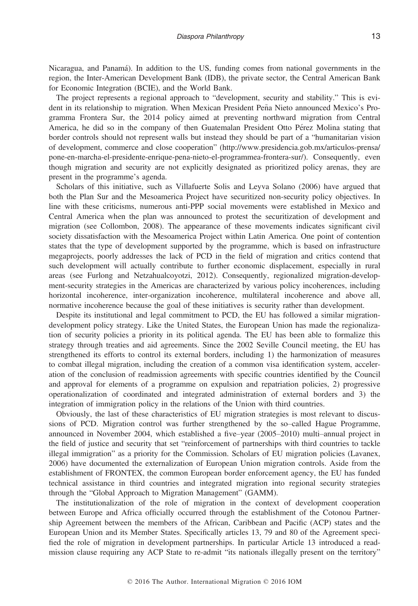Nicaragua, and Panama). In addition to the US, funding comes from national governments in the region, the Inter-American Development Bank (IDB), the private sector, the Central American Bank for Economic Integration (BCIE), and the World Bank.

The project represents a regional approach to "development, security and stability." This is evident in its relationship to migration. When Mexican President Peña Nieto announced Mexico's Programma Frontera Sur, the 2014 policy aimed at preventing northward migration from Central America, he did so in the company of then Guatemalan President Otto Pérez Molina stating that border controls should not represent walls but instead they should be part of a "humanitarian vision of development, commerce and close cooperation" [\(http://www.presidencia.gob.mx/articulos-prensa/](http://www.presidencia.gob.mx/articulos-prensa/pone-en-marcha-el-presidente-enrique-pena-nieto-el-programmea-frontera-sur/) [pone-en-marcha-el-presidente-enrique-pena-nieto-el-programmea-frontera-sur/](http://www.presidencia.gob.mx/articulos-prensa/pone-en-marcha-el-presidente-enrique-pena-nieto-el-programmea-frontera-sur/)). Consequently, even though migration and security are not explicitly designated as prioritized policy arenas, they are present in the programme's agenda.

Scholars of this initiative, such as Villafuerte Solis and Leyva Solano (2006) have argued that both the Plan Sur and the Mesoamerica Project have securitized non-security policy objectives. In line with these criticisms, numerous anti-PPP social movements were established in Mexico and Central America when the plan was announced to protest the securitization of development and migration (see Collombon, 2008). The appearance of these movements indicates significant civil society dissatisfaction with the Mesoamerica Project within Latin America. One point of contention states that the type of development supported by the programme, which is based on infrastructure megaprojects, poorly addresses the lack of PCD in the field of migration and critics contend that such development will actually contribute to further economic displacement, especially in rural areas (see Furlong and Netzahualcoyotzi, 2012). Consequently, regionalized migration-development-security strategies in the Americas are characterized by various policy incoherences, including horizontal incoherence, inter-organization incoherence, multilateral incoherence and above all, normative incoherence because the goal of these initiatives is security rather than development.

Despite its institutional and legal commitment to PCD, the EU has followed a similar migrationdevelopment policy strategy. Like the United States, the European Union has made the regionalization of security policies a priority in its political agenda. The EU has been able to formalize this strategy through treaties and aid agreements. Since the 2002 Seville Council meeting, the EU has strengthened its efforts to control its external borders, including 1) the harmonization of measures to combat illegal migration, including the creation of a common visa identification system, acceleration of the conclusion of readmission agreements with specific countries identified by the Council and approval for elements of a programme on expulsion and repatriation policies, 2) progressive operationalization of coordinated and integrated administration of external borders and 3) the integration of immigration policy in the relations of the Union with third countries.

Obviously, the last of these characteristics of EU migration strategies is most relevant to discussions of PCD. Migration control was further strengthened by the so–called Hague Programme, announced in November 2004, which established a five–year (2005–2010) multi–annual project in the field of justice and security that set "reinforcement of partnerships with third countries to tackle illegal immigration" as a priority for the Commission. Scholars of EU migration policies (Lavanex, 2006) have documented the externalization of European Union migration controls. Aside from the establishment of FRONTEX, the common European border enforcement agency, the EU has funded technical assistance in third countries and integrated migration into regional security strategies through the "Global Approach to Migration Management" (GAMM).

The institutionalization of the role of migration in the context of development cooperation between Europe and Africa officially occurred through the establishment of the Cotonou Partnership Agreement between the members of the African, Caribbean and Pacific (ACP) states and the European Union and its Member States. Specifically articles 13, 79 and 80 of the Agreement specified the role of migration in development partnerships. In particular Article 13 introduced a readmission clause requiring any ACP State to re-admit "its nationals illegally present on the territory"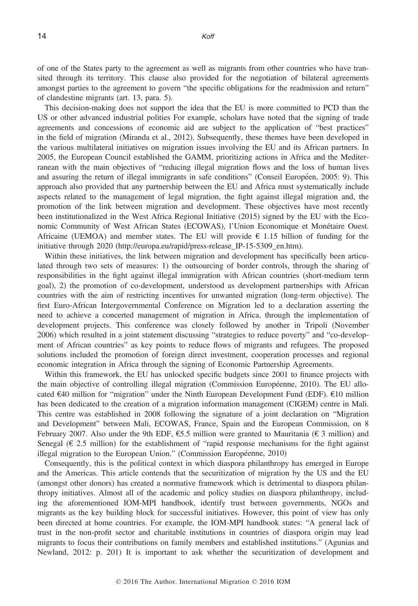of one of the States party to the agreement as well as migrants from other countries who have transited through its territory. This clause also provided for the negotiation of bilateral agreements amongst parties to the agreement to govern "the specific obligations for the readmission and return" of clandestine migrants (art. 13, para. 5).

This decision-making does not support the idea that the EU is more committed to PCD than the US or other advanced industrial polities For example, scholars have noted that the signing of trade agreements and concessions of economic aid are subject to the application of "best practices" in the field of migration (Miranda et al., 2012). Subsequently, these themes have been developed in the various multilateral initiatives on migration issues involving the EU and its African partners. In 2005, the European Council established the GAMM, prioritizing actions in Africa and the Mediterranean with the main objectives of "reducing illegal migration flows and the loss of human lives and assuring the return of illegal immigrants in safe conditions" (Conseil Européen, 2005: 9). This approach also provided that any partnership between the EU and Africa must systematically include aspects related to the management of legal migration, the fight against illegal migration and, the promotion of the link between migration and development. These objectives have most recently been institutionalized in the West Africa Regional Initiative (2015) signed by the EU with the Economic Community of West African States (ECOWAS), l'Union Economique et Monetaire Ouest. Africaine (UEMOA) and member states. The EU will provide  $\epsilon$  1.15 billion of funding for the initiative through 2020 (http://europa.eu/rapid/press-release IP-15-5309 en.htm).

Within these initiatives, the link between migration and development has specifically been articulated through two sets of measures: 1) the outsourcing of border controls, through the sharing of responsibilities in the fight against illegal immigration with African countries (short-medium term goal), 2) the promotion of co-development, understood as development partnerships with African countries with the aim of restricting incentives for unwanted migration (long-term objective). The first Euro-African Intergovernmental Conference on Migration led to a declaration asserting the need to achieve a concerted management of migration in Africa, through the implementation of development projects. This conference was closely followed by another in Tripoli (November 2006) which resulted in a joint statement discussing "strategies to reduce poverty" and "co-development of African countries" as key points to reduce flows of migrants and refugees. The proposed solutions included the promotion of foreign direct investment, cooperation processes and regional economic integration in Africa through the signing of Economic Partnership Agreements.

Within this framework, the EU has unlocked specific budgets since 2001 to finance projects with the main objective of controlling illegal migration (Commission Européenne, 2010). The EU allocated €40 million for "migration" under the Ninth European Development Fund (EDF). €10 million has been dedicated to the creation of a migration information management (CIGEM) centre in Mali. This centre was established in 2008 following the signature of a joint declaration on "Migration and Development" between Mali, ECOWAS, France, Spain and the European Commission, on 8 February 2007. Also under the 9th EDF,  $\epsilon$ 5.5 million were granted to Mauritania ( $\epsilon$  3 million) and Senegal ( $\epsilon$  2.5 million) for the establishment of "rapid response mechanisms for the fight against illegal migration to the European Union." (Commission Européenne, 2010)

Consequently, this is the political context in which diaspora philanthropy has emerged in Europe and the Americas. This article contends that the securitization of migration by the US and the EU (amongst other donors) has created a normative framework which is detrimental to diaspora philanthropy initiatives. Almost all of the academic and policy studies on diaspora philanthropy, including the aforementioned IOM-MPI handbook, identify trust between governments, NGOs and migrants as the key building block for successful initiatives. However, this point of view has only been directed at home countries. For example, the IOM-MPI handbook states: "A general lack of trust in the non-profit sector and charitable institutions in countries of diaspora origin may lead migrants to focus their contributions on family members and established institutions." (Agunias and Newland, 2012: p. 201) It is important to ask whether the securitization of development and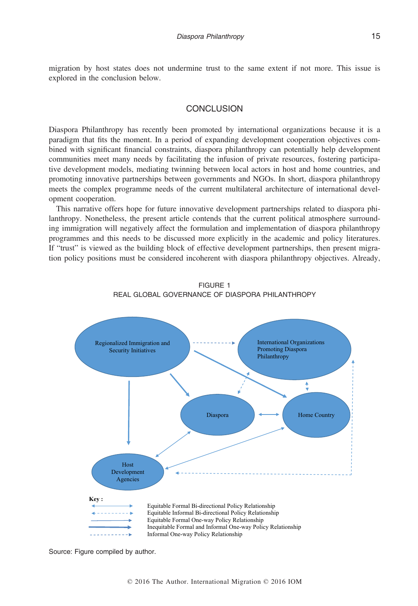migration by host states does not undermine trust to the same extent if not more. This issue is explored in the conclusion below.

# **CONCLUSION**

Diaspora Philanthropy has recently been promoted by international organizations because it is a paradigm that fits the moment. In a period of expanding development cooperation objectives combined with significant financial constraints, diaspora philanthropy can potentially help development communities meet many needs by facilitating the infusion of private resources, fostering participative development models, mediating twinning between local actors in host and home countries, and promoting innovative partnerships between governments and NGOs. In short, diaspora philanthropy meets the complex programme needs of the current multilateral architecture of international development cooperation.

This narrative offers hope for future innovative development partnerships related to diaspora philanthropy. Nonetheless, the present article contends that the current political atmosphere surrounding immigration will negatively affect the formulation and implementation of diaspora philanthropy programmes and this needs to be discussed more explicitly in the academic and policy literatures. If "trust" is viewed as the building block of effective development partnerships, then present migration policy positions must be considered incoherent with diaspora philanthropy objectives. Already,



FIGURE 1 REAL GLOBAL GOVERNANCE OF DIASPORA PHILANTHROPY

Source: Figure compiled by author.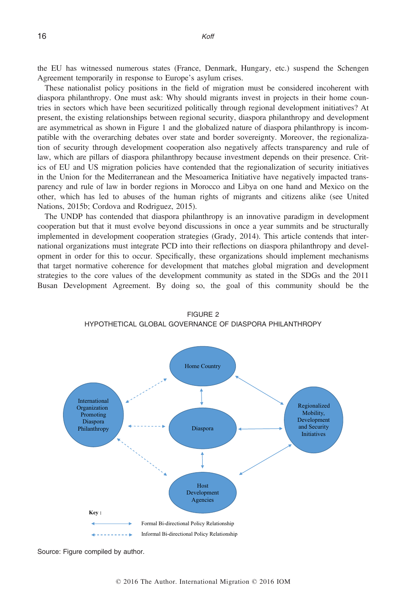the EU has witnessed numerous states (France, Denmark, Hungary, etc.) suspend the Schengen Agreement temporarily in response to Europe's asylum crises.

These nationalist policy positions in the field of migration must be considered incoherent with diaspora philanthropy. One must ask: Why should migrants invest in projects in their home countries in sectors which have been securitized politically through regional development initiatives? At present, the existing relationships between regional security, diaspora philanthropy and development are asymmetrical as shown in Figure 1 and the globalized nature of diaspora philanthropy is incompatible with the overarching debates over state and border sovereignty. Moreover, the regionalization of security through development cooperation also negatively affects transparency and rule of law, which are pillars of diaspora philanthropy because investment depends on their presence. Critics of EU and US migration policies have contended that the regionalization of security initiatives in the Union for the Mediterranean and the Mesoamerica Initiative have negatively impacted transparency and rule of law in border regions in Morocco and Libya on one hand and Mexico on the other, which has led to abuses of the human rights of migrants and citizens alike (see United Nations, 2015b; Cordova and Rodriguez, 2015).

The UNDP has contended that diaspora philanthropy is an innovative paradigm in development cooperation but that it must evolve beyond discussions in once a year summits and be structurally implemented in development cooperation strategies (Grady, 2014). This article contends that international organizations must integrate PCD into their reflections on diaspora philanthropy and development in order for this to occur. Specifically, these organizations should implement mechanisms that target normative coherence for development that matches global migration and development strategies to the core values of the development community as stated in the SDGs and the 2011 Busan Development Agreement. By doing so, the goal of this community should be the



FIGURE 2 HYPOTHETICAL GLOBAL GOVERNANCE OF DIASPORA PHILANTHROPY

Source: Figure compiled by author.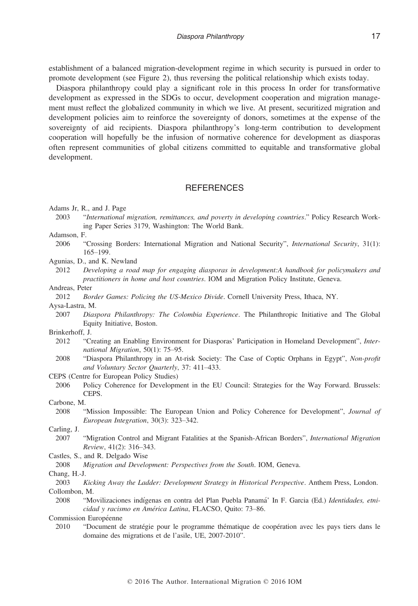establishment of a balanced migration-development regime in which security is pursued in order to promote development (see Figure 2), thus reversing the political relationship which exists today.

Diaspora philanthropy could play a significant role in this process In order for transformative development as expressed in the SDGs to occur, development cooperation and migration management must reflect the globalized community in which we live. At present, securitized migration and development policies aim to reinforce the sovereignty of donors, sometimes at the expense of the sovereignty of aid recipients. Diaspora philanthropy's long-term contribution to development cooperation will hopefully be the infusion of normative coherence for development as diasporas often represent communities of global citizens committed to equitable and transformative global development.

# **REFERENCES**

Adams Jr, R., and J. Page

2003 "International migration, remittances, and poverty in developing countries." Policy Research Working Paper Series 3179, Washington: The World Bank.

Adamson, F.

2006 "Crossing Borders: International Migration and National Security", International Security, 31(1): 165–199.

Agunias, D., and K. Newland

2012 Developing a road map for engaging diasporas in development:A handbook for policymakers and practitioners in home and host countries. IOM and Migration Policy Institute, Geneva.

Andreas, Peter

2012 Border Games: Policing the US-Mexico Divide. Cornell University Press, Ithaca, NY.

Aysa-Lastra, M.

2007 Diaspora Philanthropy: The Colombia Experience. The Philanthropic Initiative and The Global Equity Initiative, Boston.

Brinkerhoff, J.

- 2012 "Creating an Enabling Environment for Diasporas' Participation in Homeland Development", International Migration, 50(1): 75–95.
- 2008 "Diaspora Philanthropy in an At-risk Society: The Case of Coptic Orphans in Egypt", Non-profit and Voluntary Sector Quarterly, 37: 411–433.

CEPS (Centre for European Policy Studies)

2006 Policy Coherence for Development in the EU Council: Strategies for the Way Forward. Brussels: CEPS.

Carbone, M.

2008 "Mission Impossible: The European Union and Policy Coherence for Development", Journal of European Integration, 30(3): 323–342.

Carling, J.

2007 "Migration Control and Migrant Fatalities at the Spanish-African Borders", International Migration Review, 41(2): 316–343.

Castles, S., and R. Delgado Wise

2008 Migration and Development: Perspectives from the South. IOM, Geneva.

Chang, H.-J.

2003 Kicking Away the Ladder: Development Strategy in Historical Perspective. Anthem Press, London. Collombon, M.

2008 "Movilizaciones indígenas en contra del Plan Puebla Panamá' In F. Garcia (Ed.) Identidades, etnicidad y racismo en América Latina, FLACSO, Quito: 73-86.

Commission Européenne

2010 "Document de stratégie pour le programme thématique de coopération avec les pays tiers dans le domaine des migrations et de l'asile, UE, 2007-2010".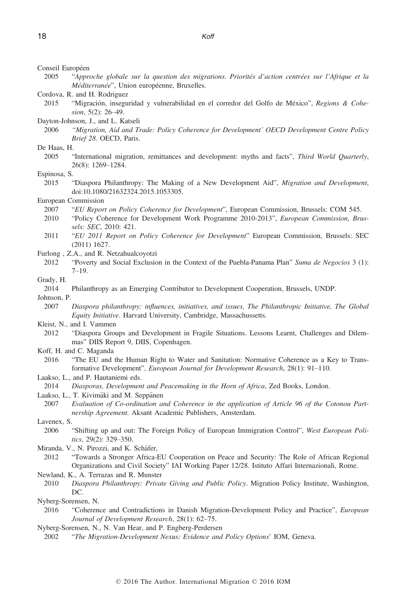Conseil Européen

2005 "Approche globale sur la question des migrations. Priorités d'action centrées sur l'Afrique et la Méditerranée", Union européenne, Bruxelles.

Cordova, R. and H. Rodriguez

2015 "Migracion, inseguridad y vulnerabilidad en el corredor del Golfo de Mexico", Regions & Cohesion, 5(2): 26-49.

Dayton-Johnson, J., and L. Katseli

2006 "Migration, Aid and Trade: Policy Coherence for Development' OECD Development Centre Policy Brief 28. OECD, Paris.

De Haas, H.

2005 "International migration, remittances and development: myths and facts", Third World Quarterly, 26(8): 1269–1284.

#### Espinosa, S.

2015 "Diaspora Philanthropy: The Making of a New Development Aid", Migration and Development, doi[:10.1080/21632324.2015.1053305.](http://dx.doi.org/10.1080/21632324.2015.1053305)

# European Commission

- 2007 "EU Report on Policy Coherence for Development", European Commission, Brussels: COM 545.
- 2010 "Policy Coherence for Development Work Programme 2010-2013", European Commission, Brussels: SEC, 2010: 421.
- 2011 "EU 2011 Report on Policy Coherence for Development" European Commission, Brussels: SEC (2011) 1627.
- Furlong , Z.A., and R. Netzahualcoyotzi
	- 2012 "Poverty and Social Exclusion in the Context of the Puebla-Panama Plan" Suma de Negocios 3 (1): 7–19.

#### Grady, H.

2014 Philanthropy as an Emerging Contributor to Development Cooperation, Brussels, UNDP.

Johnson, P.

2007 Diaspora philanthropy: influences, initiatives, and issues, The Philanthropic Initiative, The Global Equity Initiative. Harvard University, Cambridge, Massachussetts.

- Kleist, N., and I. Vammen
- 2012 "Diaspora Groups and Development in Fragile Situations. Lessons Learnt, Challenges and Dilemmas" DIIS Report 9, DIIS, Copenhagen.
- Koff, H. and C. Maganda
	- 2016 "The EU and the Human Right to Water and Sanitation: Normative Coherence as a Key to Transformative Development", European Journal for Development Research, 28(1): 91–110.
- Laakso, L., and P. Hautaniemi eds.
- 2014 Diasporas, Development and Peacemaking in the Horn of Africa, Zed Books, London.

Laakso, L., T. Kivimäki and M. Seppänen

2007 Evaluation of Co-ordination and Coherence in the application of Article 96 of the Cotonou Partnership Agreement. Aksant Academic Publishers, Amsterdam.

Lavenex, S.

- 2006 "Shifting up and out: The Foreign Policy of European Immigration Control", West European Politics, 29(2): 329–350.
- Miranda, V., N. Pirozzi, and K. Schäfer,
- 2012 "Towards a Stronger Africa-EU Cooperation on Peace and Security: The Role of African Regional Organizations and Civil Society" IAI Working Paper 12/28. Istituto Affari Internazionali, Rome.

Newland, K., A. Terrazas and R. Munster

2010 Diaspora Philanthropy: Private Giving and Public Policy. Migration Policy Institute, Washington, DC.

Nyberg-Sorensen, N.

2016 "Coherence and Contradictions in Danish Migration-Development Policy and Practice", European Journal of Development Research, 28(1): 62–75.

2002 "The Migration-Development Nexus: Evidence and Policy Options' IOM, Geneva.

Nyberg-Sorensen, N., N. Van Hear, and P. Engberg-Perdersen